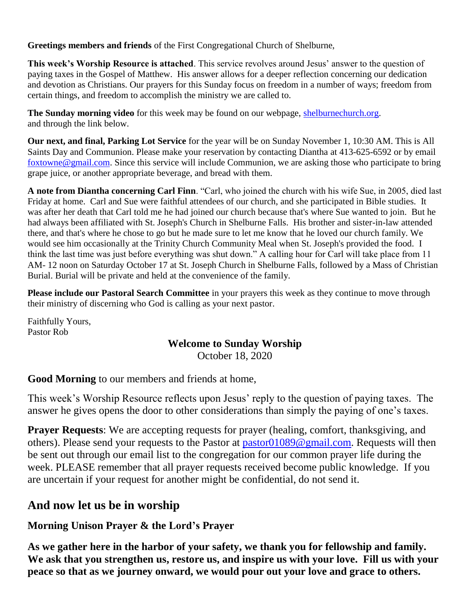**Greetings members and friends** of the First Congregational Church of Shelburne,

**This week's Worship Resource is attached**. This service revolves around Jesus' answer to the question of paying taxes in the Gospel of Matthew. His answer allows for a deeper reflection concerning our dedication and devotion as Christians. Our prayers for this Sunday focus on freedom in a number of ways; freedom from certain things, and freedom to accomplish the ministry we are called to.

**The Sunday morning video** for this week may be found on our webpage, [shelburnechurch.org.](http://shelburnechurch.org/) and through the link below.

**Our next, and final, Parking Lot Service** for the year will be on Sunday November 1, 10:30 AM. This is All Saints Day and Communion. Please make your reservation by contacting Diantha at 413-625-6592 or by email [foxtowne@gmail.com.](mailto:foxtowne@gmail.com) Since this service will include Communion, we are asking those who participate to bring grape juice, or another appropriate beverage, and bread with them.

**A note from Diantha concerning Carl Finn**. "Carl, who joined the church with his wife Sue, in 2005, died last Friday at home. Carl and Sue were faithful attendees of our church, and she participated in Bible studies. It was after her death that Carl told me he had joined our church because that's where Sue wanted to join. But he had always been affiliated with St. Joseph's Church in Shelburne Falls. His brother and sister-in-law attended there, and that's where he chose to go but he made sure to let me know that he loved our church family. We would see him occasionally at the Trinity Church Community Meal when St. Joseph's provided the food. I think the last time was just before everything was shut down." A calling hour for Carl will take place from 11 AM- 12 noon on Saturday October 17 at St. Joseph Church in Shelburne Falls, followed by a Mass of Christian Burial. Burial will be private and held at the convenience of the family.

**Please include our Pastoral Search Committee** in your prayers this week as they continue to move through their ministry of discerning who God is calling as your next pastor.

Faithfully Yours, Pastor Rob

### **Welcome to Sunday Worship**

October 18, 2020

**Good Morning** to our members and friends at home,

This week's Worship Resource reflects upon Jesus' reply to the question of paying taxes. The answer he gives opens the door to other considerations than simply the paying of one's taxes.

**Prayer Requests:** We are accepting requests for prayer (healing, comfort, thanksgiving, and others). Please send your requests to the Pastor at [pastor01089@gmail.com.](mailto:pastor01089@gmail.com) Requests will then be sent out through our email list to the congregation for our common prayer life during the week. PLEASE remember that all prayer requests received become public knowledge. If you are uncertain if your request for another might be confidential, do not send it.

# **And now let us be in worship**

# **Morning Unison Prayer & the Lord's Prayer**

**As we gather here in the harbor of your safety, we thank you for fellowship and family. We ask that you strengthen us, restore us, and inspire us with your love. Fill us with your peace so that as we journey onward, we would pour out your love and grace to others.**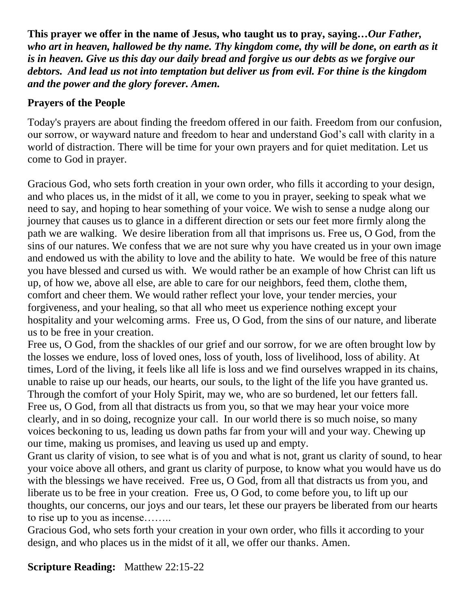**This prayer we offer in the name of Jesus, who taught us to pray, saying…***Our Father, who art in heaven, hallowed be thy name. Thy kingdom come, thy will be done, on earth as it is in heaven. Give us this day our daily bread and forgive us our debts as we forgive our debtors. And lead us not into temptation but deliver us from evil. For thine is the kingdom and the power and the glory forever. Amen.*

## **Prayers of the People**

Today's prayers are about finding the freedom offered in our faith. Freedom from our confusion, our sorrow, or wayward nature and freedom to hear and understand God's call with clarity in a world of distraction. There will be time for your own prayers and for quiet meditation. Let us come to God in prayer.

Gracious God, who sets forth creation in your own order, who fills it according to your design, and who places us, in the midst of it all, we come to you in prayer, seeking to speak what we need to say, and hoping to hear something of your voice. We wish to sense a nudge along our journey that causes us to glance in a different direction or sets our feet more firmly along the path we are walking. We desire liberation from all that imprisons us. Free us, O God, from the sins of our natures. We confess that we are not sure why you have created us in your own image and endowed us with the ability to love and the ability to hate. We would be free of this nature you have blessed and cursed us with. We would rather be an example of how Christ can lift us up, of how we, above all else, are able to care for our neighbors, feed them, clothe them, comfort and cheer them. We would rather reflect your love, your tender mercies, your forgiveness, and your healing, so that all who meet us experience nothing except your hospitality and your welcoming arms. Free us, O God, from the sins of our nature, and liberate us to be free in your creation.

Free us, O God, from the shackles of our grief and our sorrow, for we are often brought low by the losses we endure, loss of loved ones, loss of youth, loss of livelihood, loss of ability. At times, Lord of the living, it feels like all life is loss and we find ourselves wrapped in its chains, unable to raise up our heads, our hearts, our souls, to the light of the life you have granted us. Through the comfort of your Holy Spirit, may we, who are so burdened, let our fetters fall. Free us, O God, from all that distracts us from you, so that we may hear your voice more clearly, and in so doing, recognize your call. In our world there is so much noise, so many voices beckoning to us, leading us down paths far from your will and your way. Chewing up our time, making us promises, and leaving us used up and empty.

Grant us clarity of vision, to see what is of you and what is not, grant us clarity of sound, to hear your voice above all others, and grant us clarity of purpose, to know what you would have us do with the blessings we have received. Free us, O God, from all that distracts us from you, and liberate us to be free in your creation. Free us, O God, to come before you, to lift up our thoughts, our concerns, our joys and our tears, let these our prayers be liberated from our hearts to rise up to you as incense……..

Gracious God, who sets forth your creation in your own order, who fills it according to your design, and who places us in the midst of it all, we offer our thanks. Amen.

**Scripture Reading:** Matthew 22:15-22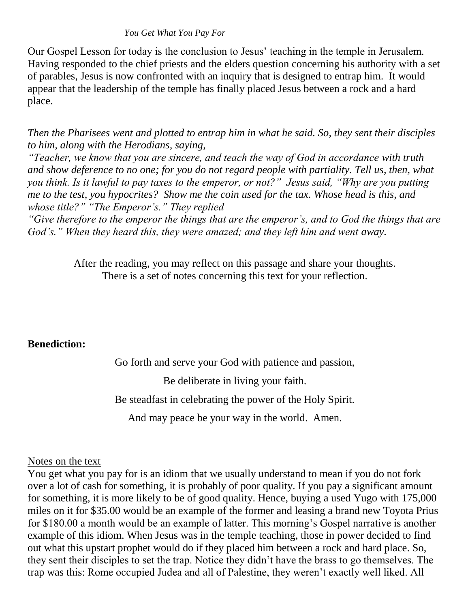#### *You Get What You Pay For*

Our Gospel Lesson for today is the conclusion to Jesus' teaching in the temple in Jerusalem. Having responded to the chief priests and the elders question concerning his authority with a set of parables, Jesus is now confronted with an inquiry that is designed to entrap him. It would appear that the leadership of the temple has finally placed Jesus between a rock and a hard place.

*Then the Pharisees went and plotted to entrap him in what he said. So, they sent their disciples to him, along with the Herodians, saying,* 

*"Teacher, we know that you are sincere, and teach the way of God in accordance with truth and show deference to no one; for you do not regard people with partiality. Tell us, then, what you think. Is it lawful to pay taxes to the emperor, or not?" Jesus said, "Why are you putting me to the test, you hypocrites? Show me the coin used for the tax. Whose head is this, and whose title?" "The Emperor's." They replied* 

*"Give therefore to the emperor the things that are the emperor's, and to God the things that are God's." When they heard this, they were amazed; and they left him and went away.* 

> After the reading, you may reflect on this passage and share your thoughts. There is a set of notes concerning this text for your reflection.

### **Benediction:**

Go forth and serve your God with patience and passion,

Be deliberate in living your faith.

Be steadfast in celebrating the power of the Holy Spirit.

And may peace be your way in the world. Amen.

### Notes on the text

You get what you pay for is an idiom that we usually understand to mean if you do not fork over a lot of cash for something, it is probably of poor quality. If you pay a significant amount for something, it is more likely to be of good quality. Hence, buying a used Yugo with 175,000 miles on it for \$35.00 would be an example of the former and leasing a brand new Toyota Prius for \$180.00 a month would be an example of latter. This morning's Gospel narrative is another example of this idiom. When Jesus was in the temple teaching, those in power decided to find out what this upstart prophet would do if they placed him between a rock and hard place. So, they sent their disciples to set the trap. Notice they didn't have the brass to go themselves. The trap was this: Rome occupied Judea and all of Palestine, they weren't exactly well liked. All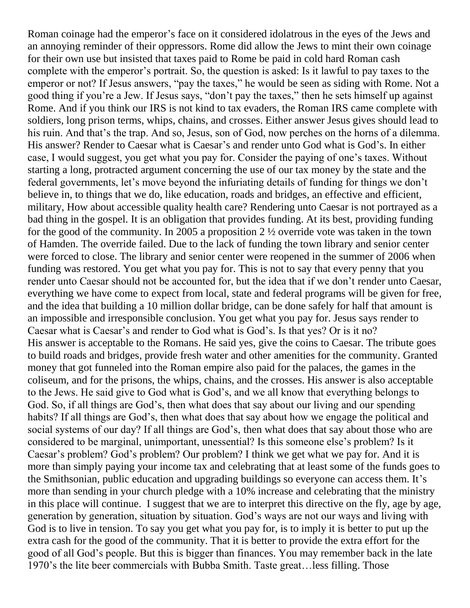Roman coinage had the emperor's face on it considered idolatrous in the eyes of the Jews and an annoying reminder of their oppressors. Rome did allow the Jews to mint their own coinage for their own use but insisted that taxes paid to Rome be paid in cold hard Roman cash complete with the emperor's portrait. So, the question is asked: Is it lawful to pay taxes to the emperor or not? If Jesus answers, "pay the taxes," he would be seen as siding with Rome. Not a good thing if you're a Jew. If Jesus says, "don't pay the taxes," then he sets himself up against Rome. And if you think our IRS is not kind to tax evaders, the Roman IRS came complete with soldiers, long prison terms, whips, chains, and crosses. Either answer Jesus gives should lead to his ruin. And that's the trap. And so, Jesus, son of God, now perches on the horns of a dilemma. His answer? Render to Caesar what is Caesar's and render unto God what is God's. In either case, I would suggest, you get what you pay for. Consider the paying of one's taxes. Without starting a long, protracted argument concerning the use of our tax money by the state and the federal governments, let's move beyond the infuriating details of funding for things we don't believe in, to things that we do, like education, roads and bridges, an effective and efficient, military, How about accessible quality health care? Rendering unto Caesar is not portrayed as a bad thing in the gospel. It is an obligation that provides funding. At its best, providing funding for the good of the community. In 2005 a proposition 2 ½ override vote was taken in the town of Hamden. The override failed. Due to the lack of funding the town library and senior center were forced to close. The library and senior center were reopened in the summer of 2006 when funding was restored. You get what you pay for. This is not to say that every penny that you render unto Caesar should not be accounted for, but the idea that if we don't render unto Caesar, everything we have come to expect from local, state and federal programs will be given for free, and the idea that building a 10 million dollar bridge, can be done safely for half that amount is an impossible and irresponsible conclusion. You get what you pay for. Jesus says render to Caesar what is Caesar's and render to God what is God's. Is that yes? Or is it no? His answer is acceptable to the Romans. He said yes, give the coins to Caesar. The tribute goes to build roads and bridges, provide fresh water and other amenities for the community. Granted money that got funneled into the Roman empire also paid for the palaces, the games in the coliseum, and for the prisons, the whips, chains, and the crosses. His answer is also acceptable to the Jews. He said give to God what is God's, and we all know that everything belongs to God. So, if all things are God's, then what does that say about our living and our spending habits? If all things are God's, then what does that say about how we engage the political and social systems of our day? If all things are God's, then what does that say about those who are considered to be marginal, unimportant, unessential? Is this someone else's problem? Is it Caesar's problem? God's problem? Our problem? I think we get what we pay for. And it is more than simply paying your income tax and celebrating that at least some of the funds goes to the Smithsonian, public education and upgrading buildings so everyone can access them. It's more than sending in your church pledge with a 10% increase and celebrating that the ministry in this place will continue. I suggest that we are to interpret this directive on the fly, age by age, generation by generation, situation by situation. God's ways are not our ways and living with God is to live in tension. To say you get what you pay for, is to imply it is better to put up the extra cash for the good of the community. That it is better to provide the extra effort for the good of all God's people. But this is bigger than finances. You may remember back in the late 1970's the lite beer commercials with Bubba Smith. Taste great…less filling. Those